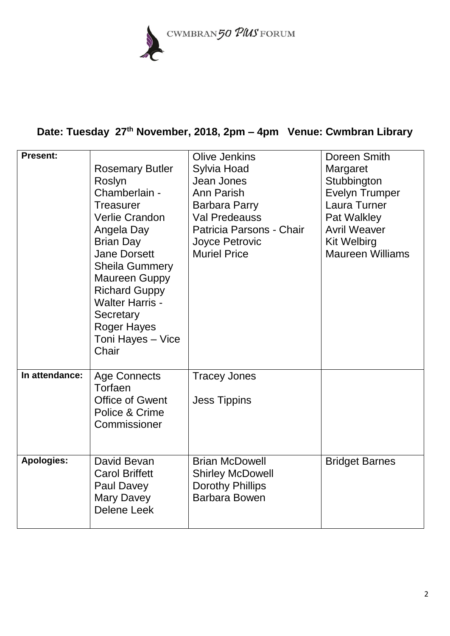

## **Date: Tuesday 27 th November, 2018, 2pm – 4pm Venue: Cwmbran Library**

| <b>Present:</b>   | <b>Rosemary Butler</b><br>Roslyn<br>Chamberlain -<br>Treasurer<br><b>Verlie Crandon</b><br>Angela Day<br><b>Brian Day</b><br><b>Jane Dorsett</b><br><b>Sheila Gummery</b><br>Maureen Guppy<br><b>Richard Guppy</b><br><b>Walter Harris -</b><br>Secretary<br><b>Roger Hayes</b><br>Toni Hayes - Vice<br>Chair | <b>Olive Jenkins</b><br>Sylvia Hoad<br>Jean Jones<br>Ann Parish<br><b>Barbara Parry</b><br><b>Val Predeauss</b><br>Patricia Parsons - Chair<br>Joyce Petrovic<br><b>Muriel Price</b> | Doreen Smith<br>Margaret<br>Stubbington<br><b>Evelyn Trumper</b><br>Laura Turner<br>Pat Walkley<br><b>Avril Weaver</b><br><b>Kit Welbirg</b><br><b>Maureen Williams</b> |
|-------------------|---------------------------------------------------------------------------------------------------------------------------------------------------------------------------------------------------------------------------------------------------------------------------------------------------------------|--------------------------------------------------------------------------------------------------------------------------------------------------------------------------------------|-------------------------------------------------------------------------------------------------------------------------------------------------------------------------|
| In attendance:    | <b>Age Connects</b><br>Torfaen<br><b>Office of Gwent</b><br>Police & Crime<br>Commissioner                                                                                                                                                                                                                    | <b>Tracey Jones</b><br><b>Jess Tippins</b>                                                                                                                                           |                                                                                                                                                                         |
| <b>Apologies:</b> | David Bevan<br><b>Carol Briffett</b><br>Paul Davey<br>Mary Davey<br><b>Delene Leek</b>                                                                                                                                                                                                                        | <b>Brian McDowell</b><br><b>Shirley McDowell</b><br><b>Dorothy Phillips</b><br><b>Barbara Bowen</b>                                                                                  | <b>Bridget Barnes</b>                                                                                                                                                   |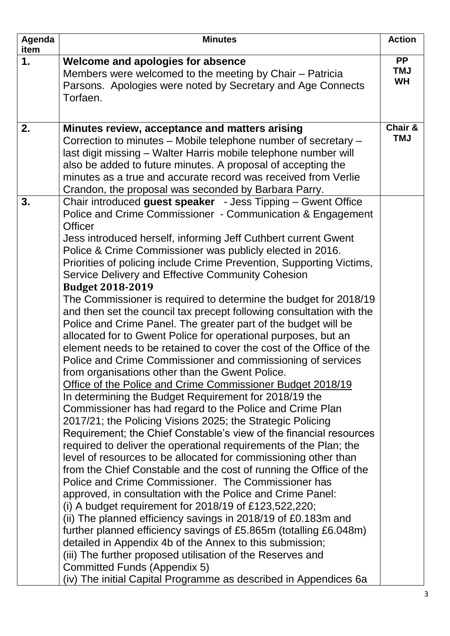| Agenda<br>item | <b>Minutes</b>                                                                                                                        | <b>Action</b>           |
|----------------|---------------------------------------------------------------------------------------------------------------------------------------|-------------------------|
| 1.             | Welcome and apologies for absence                                                                                                     | <b>PP</b>               |
|                | Members were welcomed to the meeting by Chair - Patricia                                                                              | <b>TMJ</b><br><b>WH</b> |
|                | Parsons. Apologies were noted by Secretary and Age Connects                                                                           |                         |
|                | Torfaen.                                                                                                                              |                         |
|                |                                                                                                                                       |                         |
| 2.             | Minutes review, acceptance and matters arising                                                                                        | Chair &<br><b>TMJ</b>   |
|                | Correction to minutes – Mobile telephone number of secretary –                                                                        |                         |
|                | last digit missing – Walter Harris mobile telephone number will                                                                       |                         |
|                | also be added to future minutes. A proposal of accepting the<br>minutes as a true and accurate record was received from Verlie        |                         |
|                | Crandon, the proposal was seconded by Barbara Parry.                                                                                  |                         |
| 3.             | Chair introduced guest speaker - Jess Tipping - Gwent Office                                                                          |                         |
|                | Police and Crime Commissioner - Communication & Engagement<br><b>Officer</b>                                                          |                         |
|                | Jess introduced herself, informing Jeff Cuthbert current Gwent                                                                        |                         |
|                | Police & Crime Commissioner was publicly elected in 2016.                                                                             |                         |
|                | Priorities of policing include Crime Prevention, Supporting Victims,                                                                  |                         |
|                | Service Delivery and Effective Community Cohesion                                                                                     |                         |
|                | <b>Budget 2018-2019</b>                                                                                                               |                         |
|                | The Commissioner is required to determine the budget for 2018/19                                                                      |                         |
|                | and then set the council tax precept following consultation with the                                                                  |                         |
|                | Police and Crime Panel. The greater part of the budget will be<br>allocated for to Gwent Police for operational purposes, but an      |                         |
|                | element needs to be retained to cover the cost of the Office of the                                                                   |                         |
|                | Police and Crime Commissioner and commissioning of services                                                                           |                         |
|                | from organisations other than the Gwent Police.                                                                                       |                         |
|                | Office of the Police and Crime Commissioner Budget 2018/19                                                                            |                         |
|                | In determining the Budget Requirement for 2018/19 the                                                                                 |                         |
|                | Commissioner has had regard to the Police and Crime Plan                                                                              |                         |
|                | 2017/21; the Policing Visions 2025; the Strategic Policing                                                                            |                         |
|                | Requirement; the Chief Constable's view of the financial resources                                                                    |                         |
|                | required to deliver the operational requirements of the Plan; the                                                                     |                         |
|                | level of resources to be allocated for commissioning other than<br>from the Chief Constable and the cost of running the Office of the |                         |
|                | Police and Crime Commissioner. The Commissioner has                                                                                   |                         |
|                | approved, in consultation with the Police and Crime Panel:                                                                            |                         |
|                | (i) A budget requirement for $2018/19$ of £123,522,220;                                                                               |                         |
|                | (ii) The planned efficiency savings in 2018/19 of £0.183m and                                                                         |                         |
|                | further planned efficiency savings of £5.865m (totalling £6.048m)                                                                     |                         |
|                | detailed in Appendix 4b of the Annex to this submission;                                                                              |                         |
|                | (iii) The further proposed utilisation of the Reserves and                                                                            |                         |
|                | Committed Funds (Appendix 5)                                                                                                          |                         |
|                | (iv) The initial Capital Programme as described in Appendices 6a                                                                      |                         |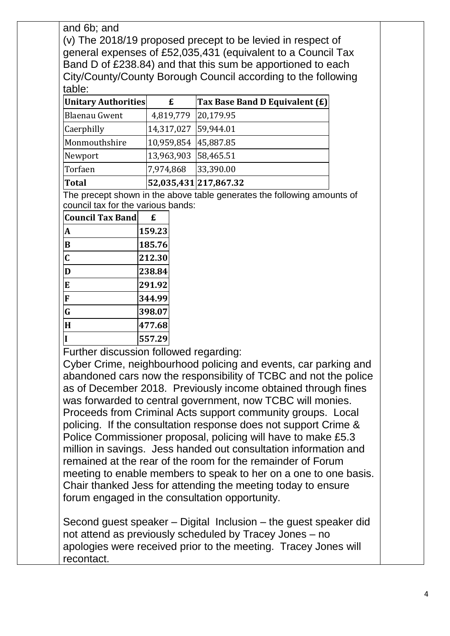and 6b; and

(v) The 2018/19 proposed precept to be levied in respect of general expenses of £52,035,431 (equivalent to a Council Tax Band D of £238.84) and that this sum be apportioned to each City/County/County Borough Council according to the following table:

| Unitary Authorities  | £                    | Tax Base Band D Equivalent (£) |
|----------------------|----------------------|--------------------------------|
| <b>Blaenau Gwent</b> | 4,819,779            | 20,179.95                      |
| Caerphilly           | 14,317,027 59,944.01 |                                |
| Monmouthshire        | 10,959,854 45,887.85 |                                |
| Newport              | 13,963,903 58,465.51 |                                |
| Torfaen              | 7,974,868            | 33,390.00                      |
| Total                |                      | 52,035,431 217,867.32          |

The precept shown in the above table generates the following amounts of council tax for the various bands:

| <b>Council Tax Band</b> | £      |
|-------------------------|--------|
| A                       | 159.23 |
| B                       | 185.76 |
| C                       | 212.30 |
| D                       | 238.84 |
| E                       | 291.92 |
| F                       | 344.99 |
| G                       | 398.07 |
| Н                       | 477.68 |
|                         | 557.29 |

Further discussion followed regarding:

Cyber Crime, neighbourhood policing and events, car parking and abandoned cars now the responsibility of TCBC and not the police as of December 2018. Previously income obtained through fines was forwarded to central government, now TCBC will monies. Proceeds from Criminal Acts support community groups. Local policing. If the consultation response does not support Crime & Police Commissioner proposal, policing will have to make £5.3 million in savings. Jess handed out consultation information and remained at the rear of the room for the remainder of Forum meeting to enable members to speak to her on a one to one basis. Chair thanked Jess for attending the meeting today to ensure forum engaged in the consultation opportunity.

Second guest speaker – Digital Inclusion – the guest speaker did not attend as previously scheduled by Tracey Jones – no apologies were received prior to the meeting. Tracey Jones will recontact.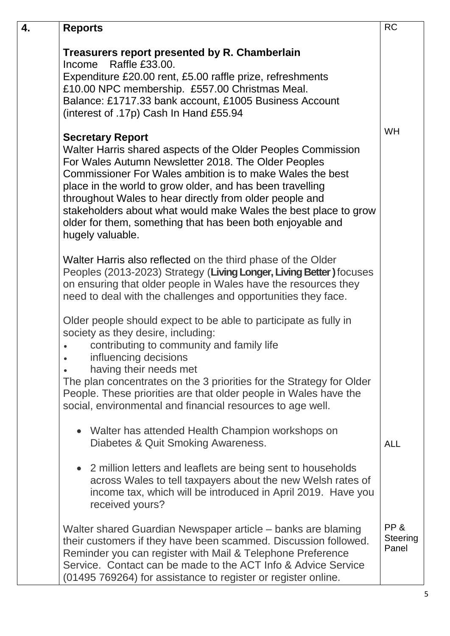| $\overline{4}$ . | <b>Reports</b>                                                                                                                                                                                                                                                                                                                                                                                                                                                                           | <b>RC</b>                |
|------------------|------------------------------------------------------------------------------------------------------------------------------------------------------------------------------------------------------------------------------------------------------------------------------------------------------------------------------------------------------------------------------------------------------------------------------------------------------------------------------------------|--------------------------|
|                  | Treasurers report presented by R. Chamberlain<br>Raffle £33,00.<br><b>Income</b><br>Expenditure £20.00 rent, £5.00 raffle prize, refreshments<br>£10.00 NPC membership. £557.00 Christmas Meal.<br>Balance: £1717.33 bank account, £1005 Business Account<br>(interest of .17p) Cash In Hand £55.94                                                                                                                                                                                      |                          |
|                  | <b>Secretary Report</b><br>Walter Harris shared aspects of the Older Peoples Commission<br>For Wales Autumn Newsletter 2018. The Older Peoples<br>Commissioner For Wales ambition is to make Wales the best<br>place in the world to grow older, and has been travelling<br>throughout Wales to hear directly from older people and<br>stakeholders about what would make Wales the best place to grow<br>older for them, something that has been both enjoyable and<br>hugely valuable. | <b>WH</b>                |
|                  | Walter Harris also reflected on the third phase of the Older<br>Peoples (2013-2023) Strategy (Living Longer, Living Better) focuses<br>on ensuring that older people in Wales have the resources they<br>need to deal with the challenges and opportunities they face.                                                                                                                                                                                                                   |                          |
|                  | Older people should expect to be able to participate as fully in<br>society as they desire, including:<br>contributing to community and family life<br>influencing decisions<br>having their needs met                                                                                                                                                                                                                                                                                   |                          |
|                  | The plan concentrates on the 3 priorities for the Strategy for Older<br>People. These priorities are that older people in Wales have the<br>social, environmental and financial resources to age well.                                                                                                                                                                                                                                                                                   |                          |
|                  | • Walter has attended Health Champion workshops on<br>Diabetes & Quit Smoking Awareness.                                                                                                                                                                                                                                                                                                                                                                                                 | <b>ALL</b>               |
|                  | • 2 million letters and leaflets are being sent to households<br>across Wales to tell taxpayers about the new Welsh rates of<br>income tax, which will be introduced in April 2019. Have you<br>received yours?                                                                                                                                                                                                                                                                          |                          |
|                  | Walter shared Guardian Newspaper article – banks are blaming<br>their customers if they have been scammed. Discussion followed.<br>Reminder you can register with Mail & Telephone Preference<br>Service. Contact can be made to the ACT Info & Advice Service<br>(01495 769264) for assistance to register or register online.                                                                                                                                                          | PP&<br>Steering<br>Panel |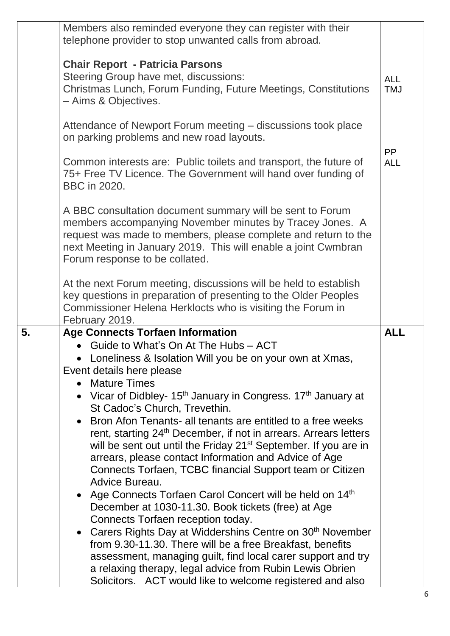|    | Members also reminded everyone they can register with their<br>telephone provider to stop unwanted calls from abroad.                                                                                                                                                                                                                                                                                                                                                                                                                                                                                                                                                                                                                                                                                                                                                                                                                                                                                                                                   |                          |
|----|---------------------------------------------------------------------------------------------------------------------------------------------------------------------------------------------------------------------------------------------------------------------------------------------------------------------------------------------------------------------------------------------------------------------------------------------------------------------------------------------------------------------------------------------------------------------------------------------------------------------------------------------------------------------------------------------------------------------------------------------------------------------------------------------------------------------------------------------------------------------------------------------------------------------------------------------------------------------------------------------------------------------------------------------------------|--------------------------|
|    | <b>Chair Report - Patricia Parsons</b><br>Steering Group have met, discussions:<br>Christmas Lunch, Forum Funding, Future Meetings, Constitutions<br>- Aims & Objectives.                                                                                                                                                                                                                                                                                                                                                                                                                                                                                                                                                                                                                                                                                                                                                                                                                                                                               | <b>ALL</b><br><b>TMJ</b> |
|    | Attendance of Newport Forum meeting – discussions took place<br>on parking problems and new road layouts.                                                                                                                                                                                                                                                                                                                                                                                                                                                                                                                                                                                                                                                                                                                                                                                                                                                                                                                                               |                          |
|    | Common interests are: Public toilets and transport, the future of<br>75+ Free TV Licence. The Government will hand over funding of<br><b>BBC</b> in 2020.                                                                                                                                                                                                                                                                                                                                                                                                                                                                                                                                                                                                                                                                                                                                                                                                                                                                                               | <b>PP</b><br><b>ALL</b>  |
|    | A BBC consultation document summary will be sent to Forum<br>members accompanying November minutes by Tracey Jones. A<br>request was made to members, please complete and return to the<br>next Meeting in January 2019. This will enable a joint Cwmbran<br>Forum response to be collated.                                                                                                                                                                                                                                                                                                                                                                                                                                                                                                                                                                                                                                                                                                                                                             |                          |
|    | At the next Forum meeting, discussions will be held to establish<br>key questions in preparation of presenting to the Older Peoples<br>Commissioner Helena Herklocts who is visiting the Forum in<br>February 2019.                                                                                                                                                                                                                                                                                                                                                                                                                                                                                                                                                                                                                                                                                                                                                                                                                                     |                          |
| 5. | <b>Age Connects Torfaen Information</b><br>Guide to What's On At The Hubs - ACT<br>Loneliness & Isolation Will you be on your own at Xmas,<br>Event details here please<br><b>Mature Times</b><br>• Vicar of Didbley- $15^{th}$ January in Congress. $17^{th}$ January at<br>St Cadoc's Church, Trevethin.<br>Bron Afon Tenants- all tenants are entitled to a free weeks<br>rent, starting 24 <sup>th</sup> December, if not in arrears. Arrears letters<br>will be sent out until the Friday 21 <sup>st</sup> September. If you are in<br>arrears, please contact Information and Advice of Age<br>Connects Torfaen, TCBC financial Support team or Citizen<br>Advice Bureau.<br>Age Connects Torfaen Carol Concert will be held on 14th<br>December at 1030-11.30. Book tickets (free) at Age<br>Connects Torfaen reception today.<br>Carers Rights Day at Widdershins Centre on 30 <sup>th</sup> November<br>$\bullet$<br>from 9.30-11.30. There will be a free Breakfast, benefits<br>assessment, managing guilt, find local carer support and try | <b>ALL</b>               |
|    | a relaxing therapy, legal advice from Rubin Lewis Obrien<br>Solicitors. ACT would like to welcome registered and also                                                                                                                                                                                                                                                                                                                                                                                                                                                                                                                                                                                                                                                                                                                                                                                                                                                                                                                                   |                          |